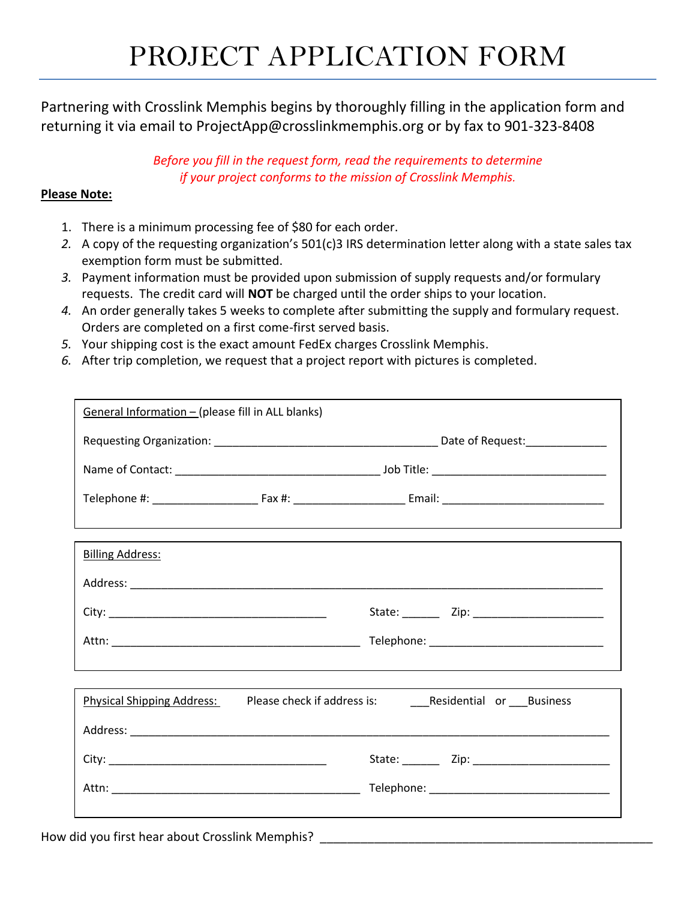## PROJECT APPLICATION FORM

Partnering with Crosslink Memphis begins by thoroughly filling in the application form and returning it via email to ProjectApp@crosslinkmemphis.org or by fax to 901-323-8408

> *Before you fill in the request form, read the requirements to determine if your project conforms to the mission of Crosslink Memphis.*

## **Please Note:**

- 1. There is a minimum processing fee of \$80 for each order.
- *2.* A copy of the requesting organization's 501(c)3 IRS determination letter along with a state sales tax exemption form must be submitted.
- *3.* Payment information must be provided upon submission of supply requests and/or formulary requests. The credit card will **NOT** be charged until the order ships to your location.
- *4.* An order generally takes 5 weeks to complete after submitting the supply and formulary request. Orders are completed on a first come-first served basis.
- *5.* Your shipping cost is the exact amount FedEx charges Crosslink Memphis.
- *6.* After trip completion, we request that a project report with pictures is completed.

| General Information - (please fill in ALL blanks) |  |  |  |  |
|---------------------------------------------------|--|--|--|--|
|                                                   |  |  |  |  |
|                                                   |  |  |  |  |
|                                                   |  |  |  |  |
|                                                   |  |  |  |  |
| <b>Billing Address:</b>                           |  |  |  |  |
|                                                   |  |  |  |  |
|                                                   |  |  |  |  |
|                                                   |  |  |  |  |
|                                                   |  |  |  |  |
| <b>Physical Shipping Address:</b>                 |  |  |  |  |
|                                                   |  |  |  |  |
|                                                   |  |  |  |  |
|                                                   |  |  |  |  |
|                                                   |  |  |  |  |

How did you first hear about Crosslink Memphis?